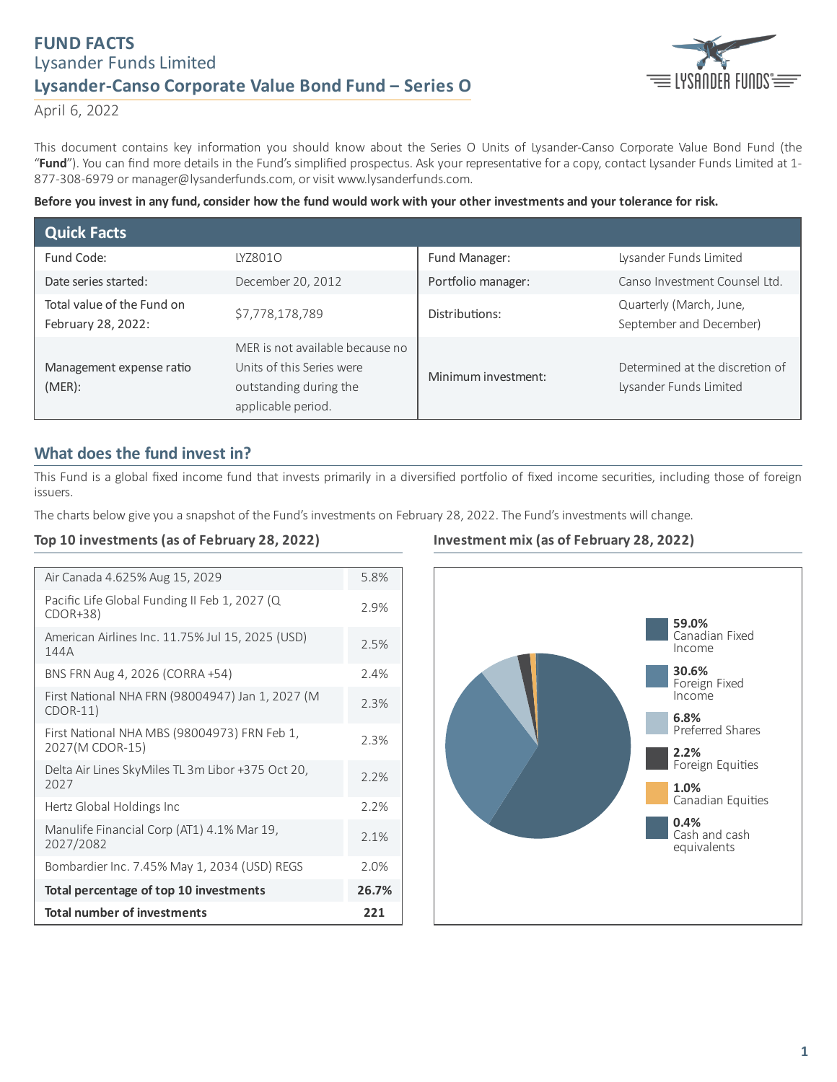# **FUND FACTS** Lysander Funds Limited **Lysander-Canso Corporate Value Bond Fund ‒ Series O**



April 6, 2022

This document contains key information you should know about the Series O Units of Lysander-Canso Corporate Value Bond Fund (the "Fund"). You can find more details in the Fund's simplified prospectus. Ask your representative for a copy, contact Lysander Funds Limited at 1-877-308-6979 or manager@lysanderfunds.com, or visit www.lysanderfunds.com.

Before you invest in any fund, consider how the fund would work with your other investments and your tolerance for risk.

| <b>Quick Facts</b>                               |                                                                                                              |                     |                                                           |
|--------------------------------------------------|--------------------------------------------------------------------------------------------------------------|---------------------|-----------------------------------------------------------|
| Fund Code:                                       | IY78010                                                                                                      | Fund Manager:       | Lysander Funds Limited                                    |
| Date series started:                             | December 20, 2012                                                                                            | Portfolio manager:  | Canso Investment Counsel Ltd.                             |
| Total value of the Fund on<br>February 28, 2022: | \$7,778,178,789                                                                                              | Distributions:      | Quarterly (March, June,<br>September and December)        |
| Management expense ratio<br>(MER):               | MER is not available because no<br>Units of this Series were<br>outstanding during the<br>applicable period. | Minimum investment: | Determined at the discretion of<br>Lysander Funds Limited |

## **What does the fund invest in?**

This Fund is a global fixed income fund that invests primarily in a diversified portfolio of fixed income securities, including those of foreign issuers.

The charts below give you a snapshot of the Fund's investments on February 28, 2022. The Fund's investments will change.

### **Top 10 investments (as of February 28, 2022)**

| Air Canada 4.625% Aug 15, 2029                                  | 5.8%  |
|-----------------------------------------------------------------|-------|
| Pacific Life Global Funding II Feb 1, 2027 (Q<br>$CDOR+38$      | 2.9%  |
| American Airlines Inc. 11.75% Jul 15, 2025 (USD)<br>144A        | 2.5%  |
| BNS FRN Aug 4, 2026 (CORRA +54)                                 | 2.4%  |
| First National NHA FRN (98004947) Jan 1, 2027 (M<br>$CDOR-11)$  | 2.3%  |
| First National NHA MBS (98004973) FRN Feb 1,<br>2027(M CDOR-15) | 2.3%  |
| Delta Air Lines SkyMiles TL 3m Libor +375 Oct 20,<br>2027       | 2.2%  |
| Hertz Global Holdings Inc                                       | 2.2%  |
| Manulife Financial Corp (AT1) 4.1% Mar 19,<br>2027/2082         | 2.1%  |
| Bombardier Inc. 7.45% May 1, 2034 (USD) REGS                    | 2.0%  |
| Total percentage of top 10 investments                          | 26.7% |
| <b>Total number of investments</b>                              |       |

## **Investment mix (as of February 28, 2022)**

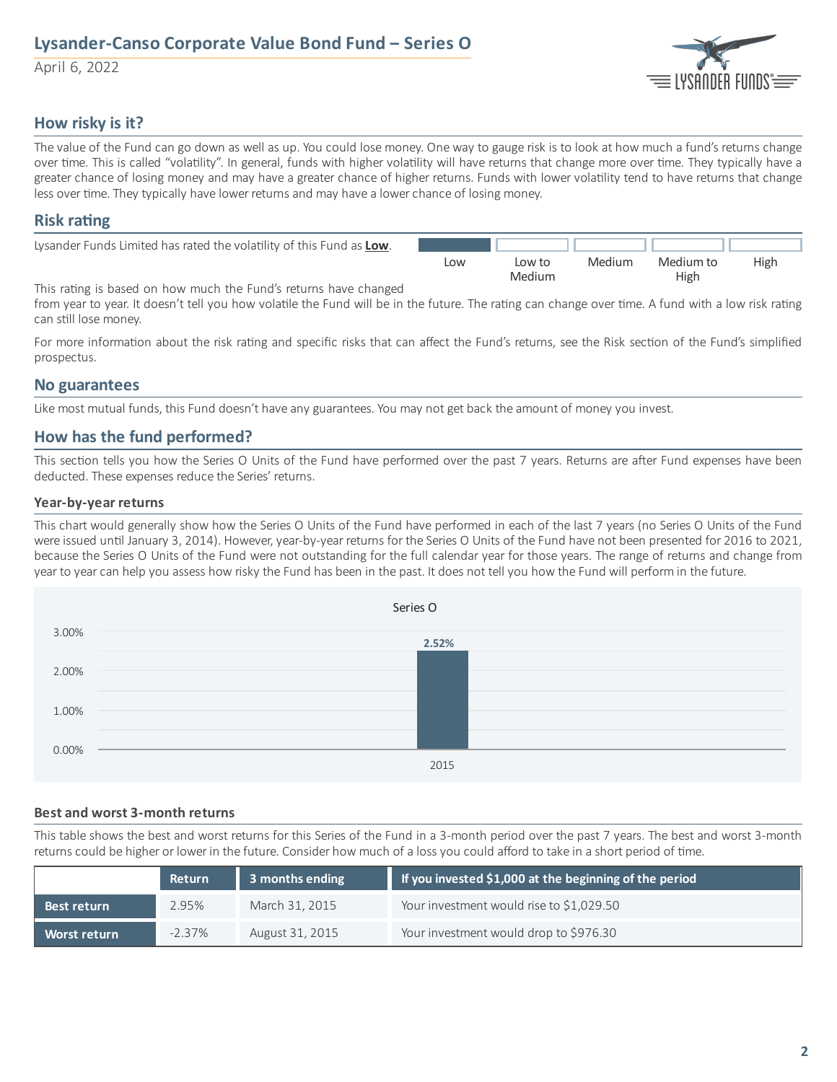# **Lysander-Canso Corporate Value Bond Fund ‒ Series O**

April 6, 2022



## **How risky is it?**

The value of the Fund can go down as well as up. You could lose money. One way to gauge risk is to look at how much a fund's returns change over time. This is called "volatility". In general, funds with higher volatility will have returns that change more over time. They typically have a greater chance of losing money and may have a greater chance of higher returns. Funds with lower volatility tend to have returns that change less over time. They typically have lower returns and may have a lower chance of losing money.

### **Risk** rating

| Lysander Funds Limited has rated the volatility of this Fund as Low. |     |        |        |           |             |
|----------------------------------------------------------------------|-----|--------|--------|-----------|-------------|
|                                                                      | Low | Low to | Medium | Medium to | <b>High</b> |
|                                                                      |     | Medium |        | High      |             |

This rating is based on how much the Fund's returns have changed

from year to year. It doesn't tell you how volatile the Fund will be in the future. The rating can change over time. A fund with a low risk rating can still lose money.

For more information about the risk rating and specific risks that can affect the Fund's returns, see the Risk section of the Fund's simplified prospectus.

### **No guarantees**

Like most mutual funds, this Fund doesn't have any guarantees. You may not get back the amount of money you invest.

## **How has the fund performed?**

This section tells you how the Series O Units of the Fund have performed over the past 7 years. Returns are after Fund expenses have been deducted. These expenses reduce the Series' returns.

### **Year-by-year returns**

This chart would generally show how the Series O Units of the Fund have performed in each of the last 7 years (no Series O Units of the Fund were issued until January 3, 2014). However, year-by-year returns for the Series O Units of the Fund have not been presented for 2016 to 2021, because the Series O Units of the Fund were not outstanding for the full calendar year for those years. The range of returns and change from year to year can help you assess how risky the Fund has been in the past. It does not tell you how the Fund will perform in the future.



#### **Best and worst 3-month returns**

This table shows the best and worst returns for this Series of the Fund in a 3-month period over the past 7 years. The best and worst 3-month returns could be higher or lower in the future. Consider how much of a loss you could afford to take in a short period of time.

|                     | Return    | 3 months ending | If you invested \$1,000 at the beginning of the period |  |
|---------------------|-----------|-----------------|--------------------------------------------------------|--|
| Best return         | 2.95%     | March 31, 2015  | Your investment would rise to \$1,029.50               |  |
| <b>Worst return</b> | $-2.37\%$ | August 31, 2015 | Your investment would drop to \$976.30                 |  |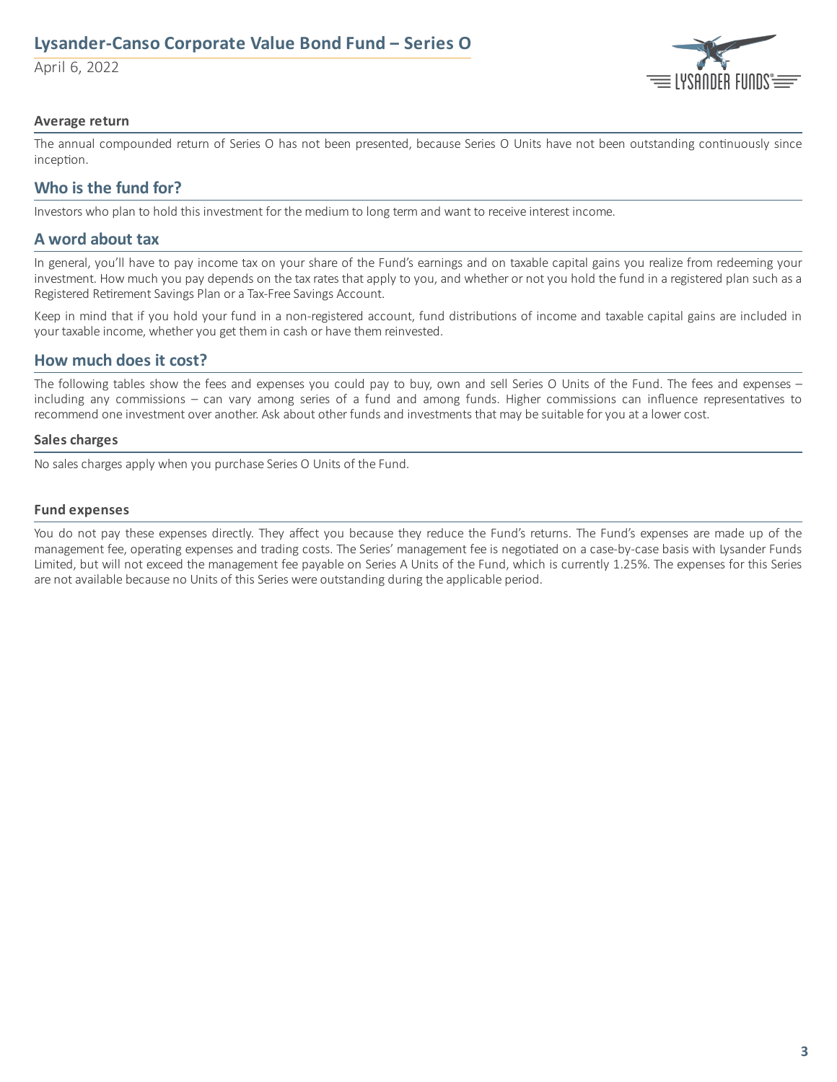# **Lysander-Canso Corporate Value Bond Fund ‒ Series O**

April 6, 2022



#### **Average return**

The annual compounded return of Series O has not been presented, because Series O Units have not been outstanding continuously since inception.

## **Who is the fund for?**

Investors who plan to hold this investment for the medium to long term and want to receive interest income.

### **A word about tax**

In general, you'll have to pay income tax on your share of the Fund's earnings and on taxable capital gains you realize from redeeming your investment. How much you pay depends on the tax rates that apply to you, and whether or not you hold the fund in a registered plan such as a Registered Retirement Savings Plan or a Tax-Free Savings Account.

Keep in mind that if you hold your fund in a non-registered account, fund distributions of income and taxable capital gains are included in your taxable income, whether you get them in cash or have them reinvested.

## **How much does it cost?**

The following tables show the fees and expenses you could pay to buy, own and sell Series O Units of the Fund. The fees and expenses – including any commissions – can vary among series of a fund and among funds. Higher commissions can influence representatives to recommend one investment over another. Ask about other funds and investments that may be suitable for you at a lower cost.

#### **Sales charges**

No sales charges apply when you purchase Series O Units of the Fund.

#### **Fund expenses**

You do not pay these expenses directly. They affect you because they reduce the Fund's returns. The Fund's expenses are made up of the management fee, operating expenses and trading costs. The Series' management fee is negotiated on a case-by-case basis with Lysander Funds Limited, but will not exceed the management fee payable on Series A Units of the Fund, which is currently 1.25%. The expenses for this Series are not available because no Units of this Series were outstanding during the applicable period.